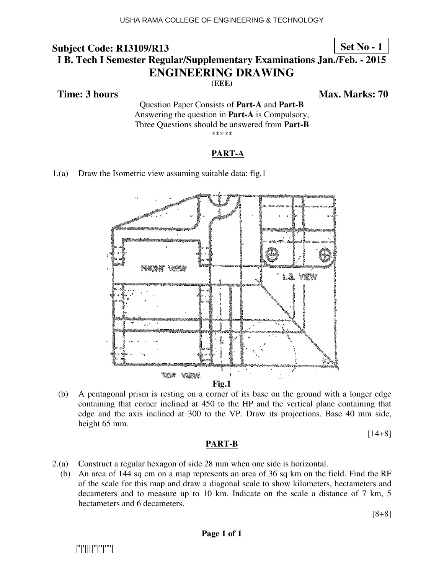### **Set No - 1**

# **I B. Tech I Semester Regular/Supplementary Examinations Jan./Feb. - 2015 ENG NGINEERING DRAWING**

**(EEE)** 

 **Time: 3 hours** 

*Ma* **ax. Marks: 70**

Questio tion Paper Consists of **Part-A** and **Part-B** Answering the question in **Part-A** is Compulsory, Three Questions should be answered from Part-B \*\*\*\*\*

### **PART-A**

1.(a) Draw the Isometric view assuming suitable data: fig.1



(b) A pentagonal prism is resting on a corner of its base on the ground with a longer edge containing that corner inclined at 450 to the HP and the vertical plane containing that edge and the axis inclined at 300 to the VP. Draw its projections. Base 40 mm side, height 65 mm.

#### [14+8]

### **PART-B**

- 2.(a) Construct a regular hexagon of side 28 mm when one side is horizontal.
- (b) An area of  $144$  sq cm on a map represents an area of  $36$  sq km on the field. Find the RF of the scale for this map and draw a diagonal scale to show kilometers, hectameters and decameters and to measure up to 10 km. Indicate on the scale a distance of 7 km, 5 hectameters and 6 decameters.

[8+8]

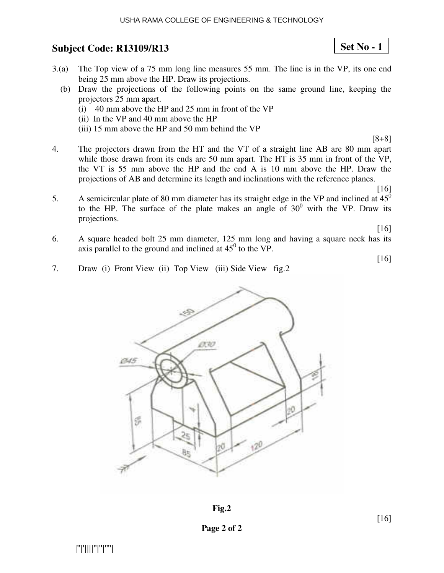- 3.(a) The Top view of a 75 mm long line measures 55 mm. The line is in the VP, its one end being 25 mm above the HP. Draw its projections.
	- (b) Draw the projections of the following points on the same ground line, keeping the projectors 25 mm apart.
		- (i) 40 mm above the HP and 25 mm in front of the VP
		- (ii) In the VP and 40 mm above the HP
		- (iii) 15 mm above the HP and 50 mm behind the VP
- 4. The projectors drawn from the HT and the VT of a straight line AB are 80 mm apart while those drawn from its ends are 50 mm apart. The HT is 35 mm in front of the VP, the VT is 55 mm above the HP and the end A is 10 mm above the HP. Draw the projections of AB and determine its length and inclinations with the reference planes.
- 5. A semicircular plate of 80 mm diameter has its straight edge in the VP and inclined at  $45^\circ$ to the HP. The surface of the plate makes an angle of  $30^0$  with the VP. Draw its projections.

[16]

[16]

[8+8]

6. A square headed bolt 25 mm diameter, 125 mm long and having a square neck has its axis parallel to the ground and inclined at  $45^{\circ}$  to the VP.

[16]

7. Draw (i) Front View (ii) Top View (iii) Side View fig.2



**Fig.2** 

**Set No - 1**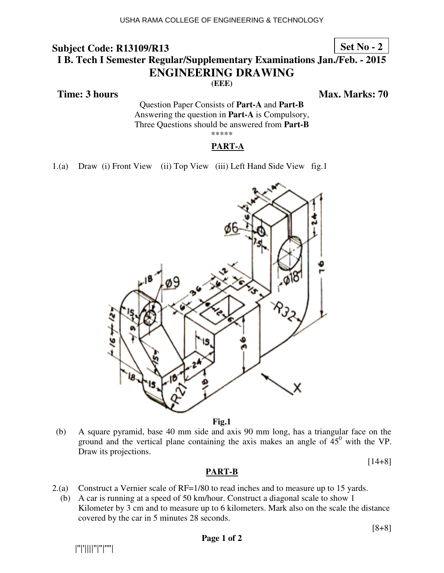### **Set No - 2**

# **I B. Tech I Semester Regular/Supplementary Examinations Jan./Feb. - 2015 ENG NGINEERING DRAWING**

**(EEE)** 

 **Time: 3 hours** 

*Ma* **ax. Marks: 70**

Questio tion Paper Consists of **Part-A** and **Part-B** Answering the question in **Part-A** is Compulsory, Three Questions should be answered from Part-B \*\*\*\*\*

### **PART-A**

1.(a) Draw (i) Front View (ii) Top View (iii) Left Hand Side View fig.1



**Fig.1** 

(b) A square pyramid, base 40 mm side and axis 90 mm long, has a triangular face on the ground and the vertical plane containing the axis makes an angle of  $45^{\circ}$  with the VP. Draw its projections.

[14+8]

### **PART-B**

- 2.(a) Construct a Vernier scale of  $RF=1/80$  to read inches and to measure up to 15 yards.
- (b) A car is running at a speed of 50 km/hour. Construct a diagonal scale to show 1 Kilometer by 3 cm and to measure up to 6 kilometers. Mark also on the scale the distance covered by the car in 5 minutes 28 seconds.

|''|'||||''|''|''''|

[8+8]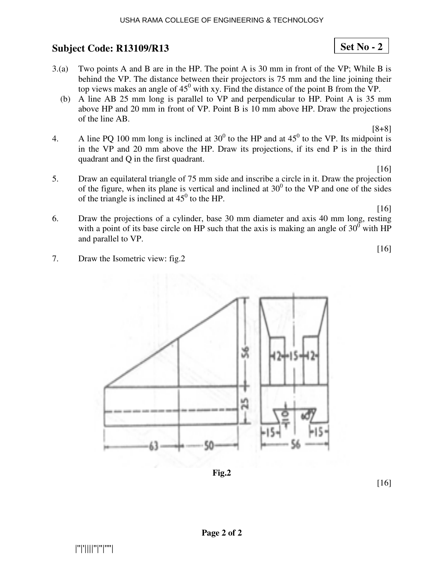|''|'||||''|''|''''|

## **Subject Code: R13109/R13 13**

- $3(a)$  Two points A and B are in the HP. The point A is 30 mm in front of the VP; While B is behind the VP. The distance between their projectors is 75 mm and the line joining their top views makes an angle of  $45^{\circ}$  with xy. Find the distance of the point B from the VP.
	- (b) A line AB 25 mm long is parallel to VP and perpendicular to HP. Point A is 35 mm above HP and  $20 \text{ mm}$  in front of VP. Point B is  $10 \text{ mm}$  above HP. Draw the projections of the line AB.
- 4. A line PQ 100 mm long is inclined at  $30^0$  to the HP and at  $45^0$  to the VP. Its midpoint is in the VP and  $20$  mm above the HP. Draw its projections, if its end  $P$  is in the third quadrant and  $Q$  in the first quadrant.
- 5. Draw an equilateral triangle of 75 mm side and inscribe a circle in it. Draw the projection of the figure, when its plane is vertical and inclined at  $30^0$  to the VP and one of the sides of the triangle is inclined at  $45^{\circ}$  to the HP.
- 6. Draw the projections of a cylinder, base 30 mm diameter and axis 40 mm long, resting with a point of its base circle on HP such that the axis is making an angle of  $30^{\circ}$  with HP and parallel to VP.
- 7. Draw the Isometric view: fig.2



**Page 2 of 2** 



[8+8]

**Set No - 2**

[16]

[16]

[16]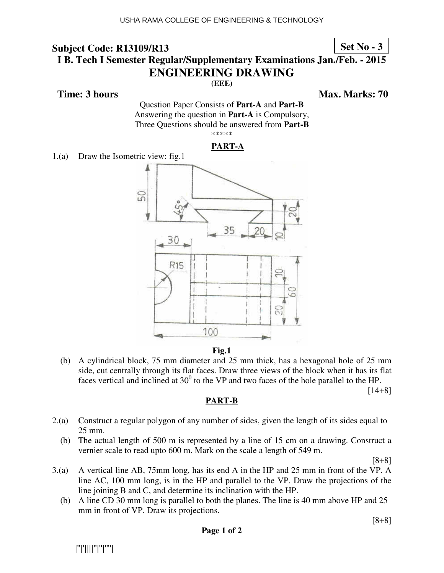### **Set No - 3**

# **I B. Tech I Semester Regular/Supplementary Examinations Jan./Feb. - 2015 ENGINEERING DRAWING**

**(EEE)** 

**Time: 3 hours** Max. Marks: 70

Question Paper Consists of **Part-A** and **Part-B** Answering the question in **Part-A** is Compulsory, Three Questions should be answered from **Part-B** \*\*\*\*\*



1.(a) Draw the Isometric view: fig.1





 (b) A cylindrical block, 75 mm diameter and 25 mm thick, has a hexagonal hole of 25 mm side, cut centrally through its flat faces. Draw three views of the block when it has its flat faces vertical and inclined at  $30^0$  to the VP and two faces of the hole parallel to the HP.

[14+8]

### **PART-B**

- 2.(a) Construct a regular polygon of any number of sides, given the length of its sides equal to 25 mm.
	- (b) The actual length of 500 m is represented by a line of 15 cm on a drawing. Construct a vernier scale to read upto 600 m. Mark on the scale a length of 549 m.

[8+8]

- 3.(a) A vertical line AB, 75mm long, has its end A in the HP and 25 mm in front of the VP. A line AC, 100 mm long, is in the HP and parallel to the VP. Draw the projections of the line joining B and C, and determine its inclination with the HP.
	- (b) A line CD 30 mm long is parallel to both the planes. The line is 40 mm above HP and 25 mm in front of VP. Draw its projections.

[8+8]

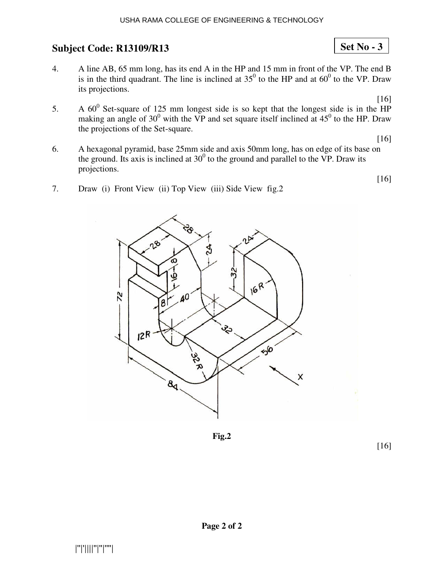- 4. A line AB, 65 mm long, has its end A in the HP and 15 mm in front of the VP. The end B is in the third quadrant. The line is inclined at  $35^0$  to the HP and at  $60^0$  to the VP. Draw its projections.
- 5. A  $60^0$  Set-square of 125 making an angle of  $30^0$  w the projections of the Set-square. 25 mm longest side is so kept that the longest s with the VP and set square itself inclined at  $45^{\circ}$ [16] t side is in the HP to the HP. Draw
- 6. A hexagonal pyramid, base 25mm side and axis 50mm long, has on edge of its base on the ground. Its axis is inclined at  $30<sup>0</sup>$  to the ground and parallel to the VP. Draw its projections. [16]
- 7. Draw (i) Front View (ii) Top View (iii) Side View fig.2

e



**Fig.2** 

[16]

[16]

**Set No - 3**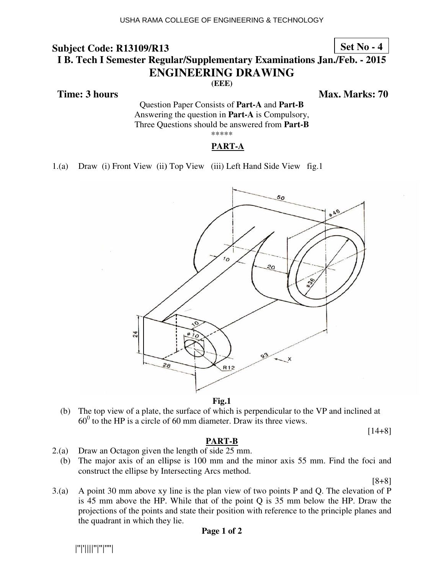### **Set No - 4**

## **I B. Tech I Semester Regular/Supplementary Examinations Jan./Feb. - 2015 ENG NGINEERING DRAWING**

**(EEE)** 

 **Time: 3 hours** 

*Ma* **ax. Marks: 70**

Questio tion Paper Consists of **Part-A** and **Part-B** Answering the question in **Part-A** is Compulsory, Three Questions should be answered from Part-B \*\*\*\*\*

#### **PART-A**

1.(a) Draw (i) Front View (ii) Top View (iii) Left Hand Side View fig.1



**Fig.1** 

(b) The top view of a plate, the surface of which is perpendicular to the VP and inclined at  $60^{\circ}$  to the HP is a circle of 60 mm diameter. Draw its three views.

[14+8]

#### **PART-B**

- 2.(a) Draw an Octagon given the length of side 25 mm.
	- (b) The major axis of an ellipse is  $100 \text{ mm}$  and the minor axis  $55 \text{ mm}$ . Find the foci and construct the ellipse by Intersecting Arcs method.

[8+8]

 $3(a)$  A point 30 mm above xy line is the plan view of two points P and Q. The elevation of P is 45 mm above the HP. While that of the point  $Q$  is 35 mm below the HP. Draw the projections of the points and state their position with reference to the principle planes and the quadrant in which they lie.

|''|'||||''|''|''''|